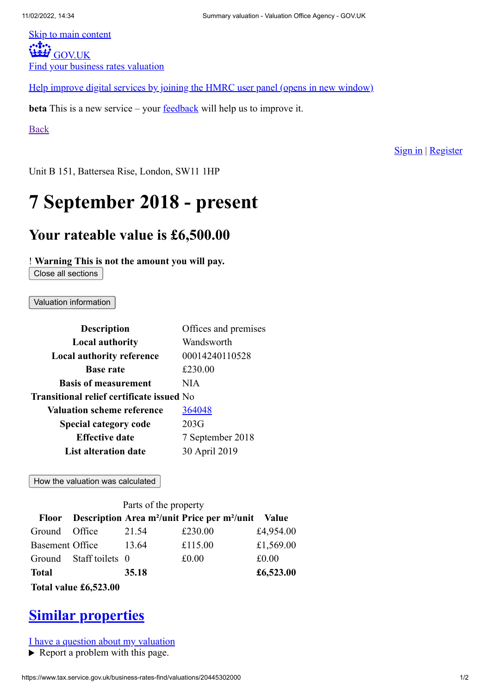[Skip to main content](#page-0-0)<br>
•••**\***••• **WEEF [GOV.UK](https://www.gov.uk/)** Find your business rates valuation

[Help improve digital services by joining the HMRC user panel \(opens in new window\)](https://signup.take-part-in-research.service.gov.uk/home?utm_campaign=CCA_August&utm_source=Other&utm_medium=other&t=HMRC&id=257)

**beta** This is a new service – your **<u>[feedback](https://www.tax.service.gov.uk/business-rates-find/send-beta-feedback)</u>** will help us to improve it.

[Back](https://www.tax.service.gov.uk/business-rates-find/properties/11749584000)

[Sign in](https://www.tax.service.gov.uk/business-rates-property-linking/home) | [Register](https://www.tax.service.gov.uk/business-rates-property-linking/start)

<span id="page-0-0"></span>Unit B 151, Battersea Rise, London, SW11 1HP

## **7 September 2018 - present**

## **Your rateable value is £6,500.00**

! **Warning This is not the amount you will pay.**

Close all sections

Valuation information

| <b>Description</b>                        | Offices and premises |  |
|-------------------------------------------|----------------------|--|
| <b>Local authority</b>                    | Wandsworth           |  |
| <b>Local authority reference</b>          | 00014240110528       |  |
| <b>Base rate</b>                          | £230.00              |  |
| <b>Basis of measurement</b>               | NIA                  |  |
| Transitional relief certificate issued No |                      |  |
| <b>Valuation scheme reference</b>         | 364048               |  |
| <b>Special category code</b>              | 203G                 |  |
| <b>Effective date</b>                     | 7 September 2018     |  |
| List alteration date                      | 30 April 2019        |  |

How the valuation was calculated

| Parts of the property  |                        |       |                                                          |              |  |
|------------------------|------------------------|-------|----------------------------------------------------------|--------------|--|
|                        |                        |       | Floor Description Area $m^2$ /unit Price per $m^2$ /unit | <b>Value</b> |  |
| Ground                 | Office                 | 21.54 | £230.00                                                  | £4,954.00    |  |
| <b>Basement Office</b> |                        | 13.64 | £115.00                                                  | £1,569.00    |  |
|                        | Ground Staff toilets 0 |       | £0.00                                                    | £0.00        |  |
| <b>Total</b>           |                        | 35.18 |                                                          | £6,523.00    |  |
| Total value £6,523.00  |                        |       |                                                          |              |  |

## **[Similar properties](https://www.tax.service.gov.uk/business-rates-find/valuations/20445302000/similar?valuationSchemeReference=364048&page=1&pageSize=15)**

[I have a question about my valuation](https://www.tax.service.gov.uk/business-rates-find/valuations/20445302000/questions)

▶ Report a problem with this page.